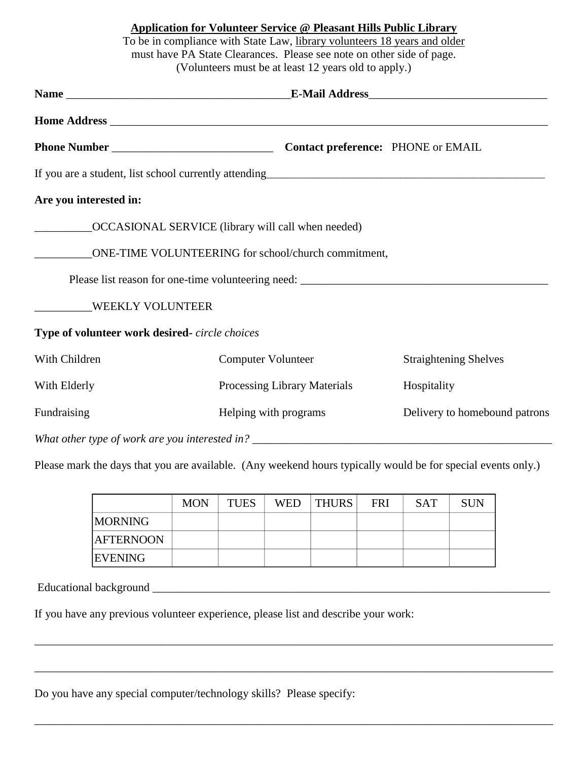|                                                | <b>Application for Volunteer Service @ Pleasant Hills Public Library</b><br>To be in compliance with State Law, library volunteers 18 years and older<br>must have PA State Clearances. Please see note on other side of page.<br>(Volunteers must be at least 12 years old to apply.) |                               |  |  |
|------------------------------------------------|----------------------------------------------------------------------------------------------------------------------------------------------------------------------------------------------------------------------------------------------------------------------------------------|-------------------------------|--|--|
|                                                |                                                                                                                                                                                                                                                                                        |                               |  |  |
|                                                |                                                                                                                                                                                                                                                                                        |                               |  |  |
|                                                | <b>Contact preference:</b> PHONE or EMAIL                                                                                                                                                                                                                                              |                               |  |  |
|                                                |                                                                                                                                                                                                                                                                                        |                               |  |  |
| Are you interested in:                         |                                                                                                                                                                                                                                                                                        |                               |  |  |
|                                                | <b>OCCASIONAL SERVICE</b> (library will call when needed)                                                                                                                                                                                                                              |                               |  |  |
|                                                | ONE-TIME VOLUNTEERING for school/church commitment,                                                                                                                                                                                                                                    |                               |  |  |
|                                                |                                                                                                                                                                                                                                                                                        |                               |  |  |
| WEEKLY VOLUNTEER                               |                                                                                                                                                                                                                                                                                        |                               |  |  |
| Type of volunteer work desired-circle choices  |                                                                                                                                                                                                                                                                                        |                               |  |  |
| With Children                                  | <b>Computer Volunteer</b>                                                                                                                                                                                                                                                              | <b>Straightening Shelves</b>  |  |  |
| With Elderly                                   | Processing Library Materials                                                                                                                                                                                                                                                           | Hospitality                   |  |  |
| Fundraising                                    | Helping with programs                                                                                                                                                                                                                                                                  | Delivery to homebound patrons |  |  |
| What other type of work are you interested in? |                                                                                                                                                                                                                                                                                        |                               |  |  |

Please mark the days that you are available. (Any weekend hours typically would be for special events only.)

|                  | <b>MON</b> | <b>TUES</b> | <b>WED</b> | THURS | <b>FRI</b> | <b>SAT</b> | <b>SUN</b> |
|------------------|------------|-------------|------------|-------|------------|------------|------------|
| <b>MORNING</b>   |            |             |            |       |            |            |            |
| <b>AFTERNOON</b> |            |             |            |       |            |            |            |
| <b>EVENING</b>   |            |             |            |       |            |            |            |

\_\_\_\_\_\_\_\_\_\_\_\_\_\_\_\_\_\_\_\_\_\_\_\_\_\_\_\_\_\_\_\_\_\_\_\_\_\_\_\_\_\_\_\_\_\_\_\_\_\_\_\_\_\_\_\_\_\_\_\_\_\_\_\_\_\_\_\_\_\_\_\_\_\_\_\_\_\_\_\_\_\_\_\_\_\_\_\_\_\_

\_\_\_\_\_\_\_\_\_\_\_\_\_\_\_\_\_\_\_\_\_\_\_\_\_\_\_\_\_\_\_\_\_\_\_\_\_\_\_\_\_\_\_\_\_\_\_\_\_\_\_\_\_\_\_\_\_\_\_\_\_\_\_\_\_\_\_\_\_\_\_\_\_\_\_\_\_\_\_\_\_\_\_\_\_\_\_\_\_\_

Educational background \_\_\_\_\_\_\_\_\_\_\_\_\_\_\_\_\_\_\_\_\_\_\_\_\_\_\_\_\_\_\_\_\_\_\_\_\_\_\_\_\_\_\_\_\_\_\_\_\_\_\_\_\_\_\_\_\_\_\_\_\_\_\_\_\_\_\_\_\_

If you have any previous volunteer experience, please list and describe your work:

Do you have any special computer/technology skills? Please specify: